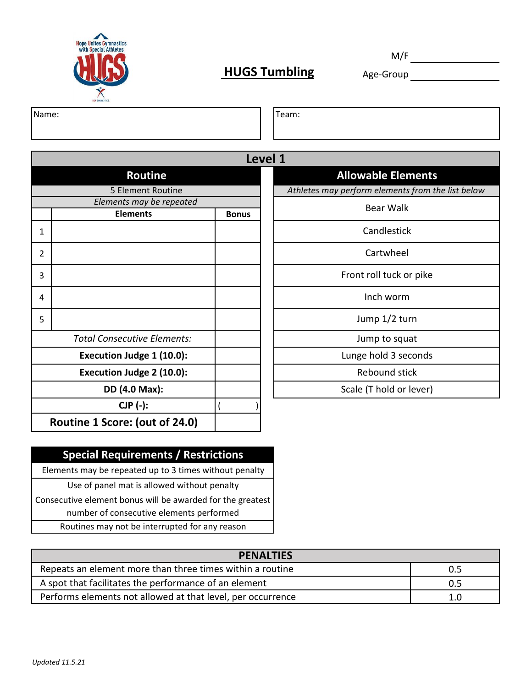

# **HUGS Tumbling** Age-Group

M/F

Name:

Team:

| Level 1 |                                    |              |                                      |  |
|---------|------------------------------------|--------------|--------------------------------------|--|
|         | <b>Routine</b>                     |              | <b>Allowable Elements</b>            |  |
|         | 5 Element Routine                  |              | Athletes may perform elements from t |  |
|         | Elements may be repeated           |              | <b>Bear Walk</b>                     |  |
|         | <b>Elements</b>                    | <b>Bonus</b> |                                      |  |
| 1       |                                    |              | Candlestick                          |  |
| 2       |                                    |              | Cartwheel                            |  |
| 3       |                                    |              | Front roll tuck or pike              |  |
| 4       |                                    |              | Inch worm                            |  |
| 5       |                                    |              | Jump 1/2 turn                        |  |
|         | <b>Total Consecutive Elements:</b> |              | Jump to squat                        |  |
|         | Execution Judge 1 (10.0):          |              | Lunge hold 3 seconds                 |  |
|         | Execution Judge 2 (10.0):          |              | <b>Rebound stick</b>                 |  |
|         | DD (4.0 Max):                      |              | Scale (T hold or lever)              |  |
|         | $CJP$ $(-)$ :                      |              |                                      |  |
|         | Routine 1 Score: (out of 24.0)     |              |                                      |  |

*Athletes may perform elements from the list below*

### **Special Requirements / Restrictions**

Elements may be repeated up to 3 times without penalty

Use of panel mat is allowed without penalty

Consecutive element bonus will be awarded for the greatest number of consecutive elements performed

Routines may not be interrupted for any reason

| <b>PENALTIES</b>                                            |     |  |
|-------------------------------------------------------------|-----|--|
| Repeats an element more than three times within a routine   | 0.5 |  |
| A spot that facilitates the performance of an element       | 0.5 |  |
| Performs elements not allowed at that level, per occurrence | 1.0 |  |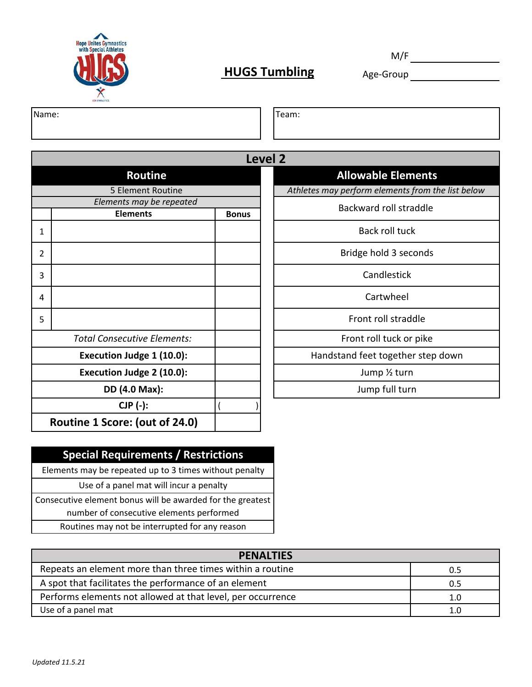

# **HUGS Tumbling** Age-Group

M/F

Name:

Team:

|                |                                    |              | <b>Level 2</b> |
|----------------|------------------------------------|--------------|----------------|
|                | <b>Routine</b>                     |              |                |
|                | 5 Element Routine                  |              |                |
|                | Elements may be repeated           |              |                |
|                | <b>Elements</b>                    | <b>Bonus</b> |                |
| $\mathbf{1}$   |                                    |              |                |
| $\overline{2}$ |                                    |              |                |
| 3              |                                    |              |                |
| 4              |                                    |              |                |
| 5              |                                    |              |                |
|                | <b>Total Consecutive Elements:</b> |              |                |
|                | Execution Judge 1 (10.0):          |              |                |
|                | Execution Judge 2 (10.0):          |              |                |
|                | DD (4.0 Max):                      |              |                |
|                | CJP (-):                           |              |                |
|                | Routine 1 Score: (out of 24.0)     |              |                |

### **Allowable Elements** *Athletes may perform elements from the list below*

Backward roll straddle

Back roll tuck

Bridge hold 3 seconds

**Candlestick** 

Cartwheel

Front roll straddle

Front roll tuck or pike

Handstand feet together step down

Jump ½ turn

Jump full turn

### **Special Requirements / Restrictions**

Elements may be repeated up to 3 times without penalty

Use of a panel mat will incur a penalty

Consecutive element bonus will be awarded for the greatest number of consecutive elements performed

Routines may not be interrupted for any reason

| <b>PENALTIES</b>                                            |     |
|-------------------------------------------------------------|-----|
| Repeats an element more than three times within a routine   | 0.5 |
| A spot that facilitates the performance of an element       | 0.5 |
| Performs elements not allowed at that level, per occurrence | 1.0 |
| Use of a panel mat                                          | 1.0 |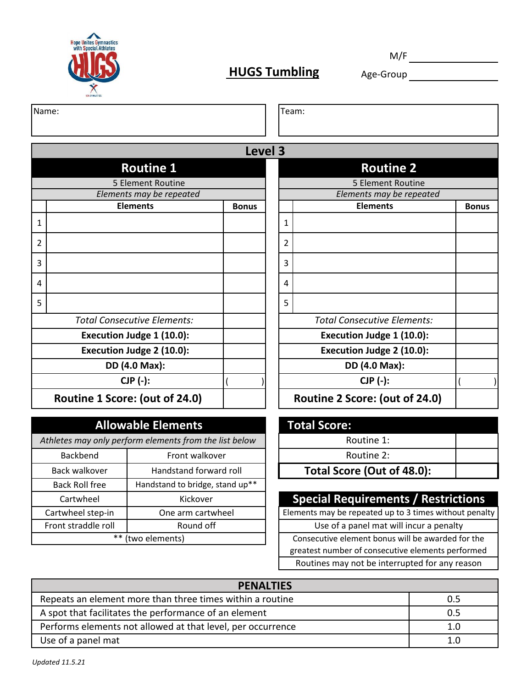

# **HUGS Tumbling** Age-Group **Age-Manual**

M/F

| Name: | eam: |
|-------|------|
|       |      |

|   |                                    | Level 3      |   |                                    |  |  |
|---|------------------------------------|--------------|---|------------------------------------|--|--|
|   | <b>Routine 1</b>                   |              |   | <b>Routine 2</b>                   |  |  |
|   | 5 Element Routine                  |              |   | 5 Element Routine                  |  |  |
|   | Elements may be repeated           |              |   | Elements may be repeated           |  |  |
|   | <b>Elements</b>                    | <b>Bonus</b> |   | <b>Elements</b>                    |  |  |
| 1 |                                    |              | 1 |                                    |  |  |
| 2 |                                    |              | 2 |                                    |  |  |
| 3 |                                    |              | 3 |                                    |  |  |
| 4 |                                    |              | 4 |                                    |  |  |
| 5 |                                    |              | 5 |                                    |  |  |
|   | <b>Total Consecutive Elements:</b> |              |   | <b>Total Consecutive Elements:</b> |  |  |
|   | Execution Judge 1 (10.0):          |              |   | Execution Judge 1 (10.0):          |  |  |
|   | Execution Judge 2 (10.0):          |              |   | Execution Judge 2 (10.0):          |  |  |
|   | DD (4.0 Max):                      |              |   | DD (4.0 Max):                      |  |  |
|   | CJP (-):                           |              |   | $CJP(-):$                          |  |  |
|   | Routine 1 Score: (out of 24.0)     |              |   | Routine 2 Score: (out of 24.0)     |  |  |

| <b>Allowable Elements</b>                              |                                 |  |  |  |
|--------------------------------------------------------|---------------------------------|--|--|--|
| Athletes may only perform elements from the list below |                                 |  |  |  |
| Backbend                                               | Front walkover                  |  |  |  |
| Back walkover                                          | Handstand forward roll          |  |  |  |
| <b>Back Roll free</b>                                  | Handstand to bridge, stand up** |  |  |  |
| Cartwheel                                              | Kickover                        |  |  |  |
| Cartwheel step-in                                      | One arm cartwheel               |  |  |  |
| Front straddle roll                                    | Round off                       |  |  |  |
| **<br>(two elements)                                   |                                 |  |  |  |

| <b>Routine 1</b>                   |              |   | <b>Routine 2</b>                   |              |  |
|------------------------------------|--------------|---|------------------------------------|--------------|--|
| 5 Element Routine                  |              |   | 5 Element Routine                  |              |  |
| Elements may be repeated           |              |   | Elements may be repeated           |              |  |
| <b>Elements</b>                    | <b>Bonus</b> |   | <b>Elements</b>                    | <b>Bonus</b> |  |
|                                    |              | 1 |                                    |              |  |
|                                    |              | 2 |                                    |              |  |
|                                    |              | 3 |                                    |              |  |
|                                    |              | 4 |                                    |              |  |
|                                    |              | 5 |                                    |              |  |
| <b>Total Consecutive Elements:</b> |              |   | <b>Total Consecutive Elements:</b> |              |  |
| Execution Judge 1 (10.0):          |              |   | Execution Judge 1 (10.0):          |              |  |
| Execution Judge 2 (10.0):          |              |   | Execution Judge 2 (10.0):          |              |  |
| DD (4.0 Max):                      |              |   | DD (4.0 Max):                      |              |  |
| $CJP$ $(-)$ :                      |              |   | $CJP$ $(-)$ :                      |              |  |
| Routine 1 Score: (out of 24.0)     |              |   | Routine 2 Score: (out of 24.0)     |              |  |

| <b>Total Score:</b>        |  |  |  |  |
|----------------------------|--|--|--|--|
| Routine 1:                 |  |  |  |  |
| Routine 2:                 |  |  |  |  |
| Total Score (Out of 48.0): |  |  |  |  |
|                            |  |  |  |  |

## **Special Requirements / Restrictions**

Consecutive element bonus will be awarded for the greatest number of consecutive elements performed Routines may not be interrupted for any reason Use of a panel mat will incur a penalty Elements may be repeated up to 3 times without penalty

| <b>PENALTIES</b>                                            |     |
|-------------------------------------------------------------|-----|
| Repeats an element more than three times within a routine   | 0.5 |
| A spot that facilitates the performance of an element       | 0.5 |
| Performs elements not allowed at that level, per occurrence | 1.0 |
| Use of a panel mat                                          |     |